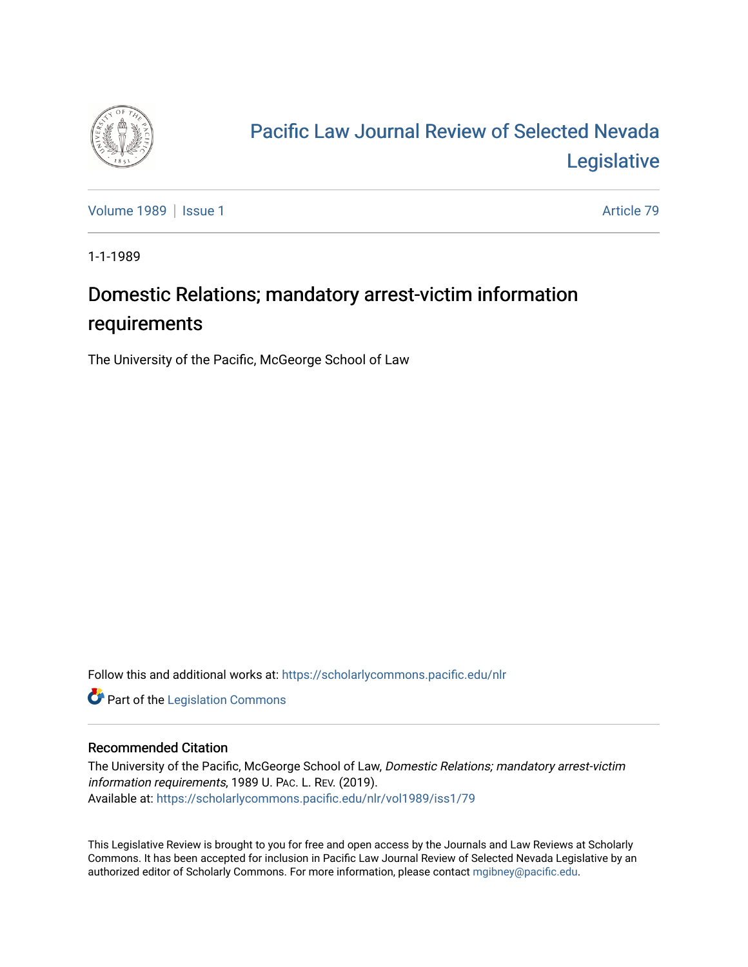

## [Pacific Law Journal Review of Selected Nevada](https://scholarlycommons.pacific.edu/nlr)  [Legislative](https://scholarlycommons.pacific.edu/nlr)

[Volume 1989](https://scholarlycommons.pacific.edu/nlr/vol1989) | [Issue 1](https://scholarlycommons.pacific.edu/nlr/vol1989/iss1) Article 79

1-1-1989

## Domestic Relations; mandatory arrest-victim information requirements

The University of the Pacific, McGeorge School of Law

Follow this and additional works at: [https://scholarlycommons.pacific.edu/nlr](https://scholarlycommons.pacific.edu/nlr?utm_source=scholarlycommons.pacific.edu%2Fnlr%2Fvol1989%2Fiss1%2F79&utm_medium=PDF&utm_campaign=PDFCoverPages) 

**Part of the [Legislation Commons](http://network.bepress.com/hgg/discipline/859?utm_source=scholarlycommons.pacific.edu%2Fnlr%2Fvol1989%2Fiss1%2F79&utm_medium=PDF&utm_campaign=PDFCoverPages)** 

## Recommended Citation

The University of the Pacific, McGeorge School of Law, Domestic Relations; mandatory arrest-victim information requirements, 1989 U. PAC. L. REV. (2019). Available at: [https://scholarlycommons.pacific.edu/nlr/vol1989/iss1/79](https://scholarlycommons.pacific.edu/nlr/vol1989/iss1/79?utm_source=scholarlycommons.pacific.edu%2Fnlr%2Fvol1989%2Fiss1%2F79&utm_medium=PDF&utm_campaign=PDFCoverPages)

This Legislative Review is brought to you for free and open access by the Journals and Law Reviews at Scholarly Commons. It has been accepted for inclusion in Pacific Law Journal Review of Selected Nevada Legislative by an authorized editor of Scholarly Commons. For more information, please contact [mgibney@pacific.edu](mailto:mgibney@pacific.edu).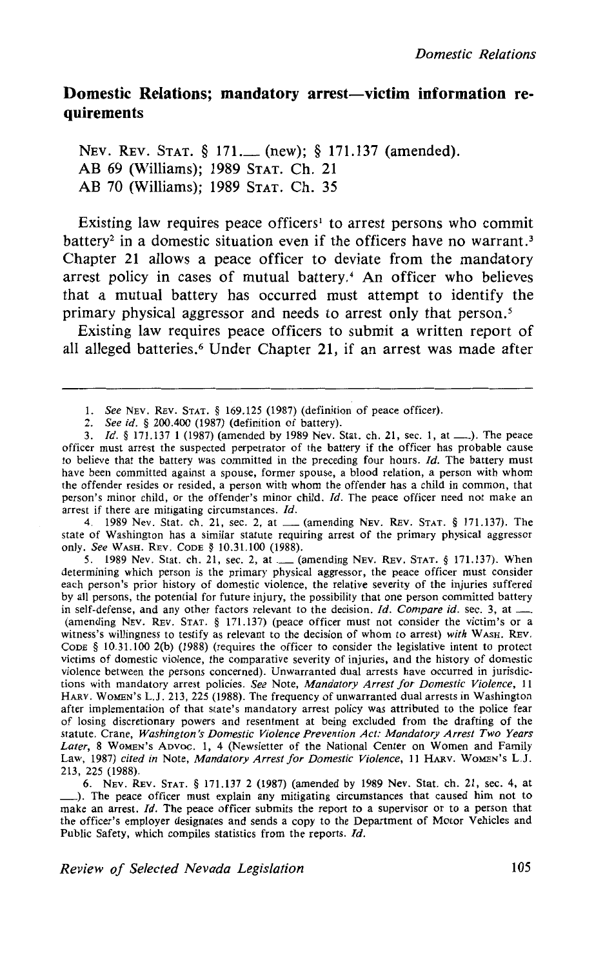## Domestic Relations; mandatory arrest-victim information re**quirements**

NEV. REV. STAT. § 171. (new); § 171.137 (amended). AB 69 (Williams); 1989 STAT. Ch. 21 AB 70 (Williams); 1989 STAT. Ch. 35

Existing law requires peace officers<sup>1</sup> to arrest persons who commit battery<sup>2</sup> in a domestic situation even if the officers have no warrant.<sup>3</sup> Chapter 21 allows a peace officer to deviate from the mandatory arrest policy in cases of mutual battery.<sup>4</sup> An officer who believes that a mutual battery has occurred must attempt to identify the primary physical aggressor and needs to arrest only that person. *<sup>5</sup>*

Existing law requires peace officers to submit a written report of all alleged batteries.<sup>6</sup> Under Chapter 21, if an arrest was made after

arrest if there are mitigating circumstances. *Id.* 4. 1989 Nev. Stat. ch. 21, sec. 2, at <u>equal (amending NEV. REV. STAT.</u> § 171.137). The state of Washington has a similar statute requiring arrest of the primary physical aggressor only. *See* WASH. REV. CODE§ 10.31.100 (1988).

5. 1989 Nev. Stat. ch. 21, sec. 2, at ...... (amending NEV. REV. STAT. § 171.137). When determining which person is the primary physical aggressor, the peace officer must consider each person's prior history of domestic violence, the relative severity of the injuries suffered by all persons, the potential for future injury, the possibility that one person committed battery in self-defense, and any other factors relevant to the decision. *Id. Compare id.* sec. 3, at \_\_ (amending NEv. REv. STAT. § 171.137) (peace officer must not consider the victim's or a witness's willingness to testify as relevant to the decision of whom to arrest) *with* WASH. REv. CODE § 10.31.100 2(b) (1988) (requires the officer to consider the legislative intent to protect victims of domestic violence, the comparative severity of injuries, and the history of domestic violence between the persons concerned). Unwarranted dual arrests have occurred in jurisdictions with mandatory arrest policies. *See* Note, *Mandatory Arrest for Domestic Violence,* 11 HARv. WoMEN's L.J. 213, 225 (1988). The frequency of unwarranted dual arrests in Washington after implementation of that state's mandatory arrest policy was attributed to the police fear of losing discretionary powers and resentment at being excluded from the drafting of the statute. Crane, *Washington's Domestic Violence Prevention Act: Mandatory Arrest Two Years*  Later, 8 WOMEN's ADVOC. 1, 4 (Newsletter of the National Center on Women and Family Law, 1987) *cited in* Note, *Mandatory Arrest for Domestic Violence,* 11 HARV. WOMEN's L.J. 213, 225 (1988).

6. NEv. REv. STAT. § 171.137 2 (1987) (amended by 1989 Nev. Stat. ch. 21, sec. 4, at \_). The peace officer must explain any mitigating circumstances that caused him not to make an arrest. *Id.* The peace officer submits the report to a supervisor or to a person that the officer's employer designates and sends a copy to the Department of Motor Vehicles and Public Safety, which compiles statistics from the reports. *Id.* 

*Review of Selected Nevada Legislation* 105

I. *See* NEv. REv. STAT. § 169.125 (1987) (definition of peace officer).

<sup>2.</sup> *See id.* § 200.400 (1987) (definition of battery).

<sup>3.</sup> *!d.§* 171.137 1 (1987) (amended by 1989 Nev. Stat. ch. 21, sec. 1, at\_). The peace officer must arrest the suspected perpetrator of the battery if the officer has probable cause to believe that the battery was committed in the preceding four hours.  $Id$ . The battery must have been committed against a spouse, former spouse, a blood relation, a person with whom the offender resides or resided, a person with whom the offender has a child in common, that person's minor child, or the offender's minor child. *!d.* The peace officer need not make an